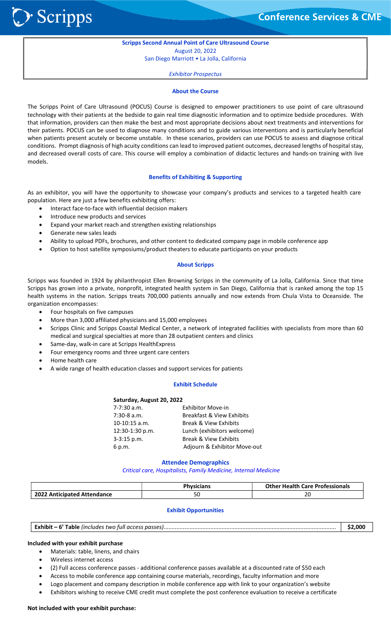**Conference Services & CME** 

### Scripps Second Annual Point of Care Ultrasound Course August 20, 2022

San Diego Marriott • La Jolla, California

Exhibitor Prospectus

#### About the Course

The Scripps Point of Care Ultrasound (POCUS) Course is designed to empower practitioners to use point of care ultrasound technology with their patients at the bedside to gain real time diagnostic information and to optimize bedside procedures. With that information, providers can then make the best and most appropriate decisions about next treatments and interventions for their patients. POCUS can be used to diagnose many conditions and to guide various interventions and is particularly beneficial when patients present acutely or become unstable. In these scenarios, providers can use POCUS to assess and diagnose critical conditions. Prompt diagnosis of high acuity conditions can lead to improved patient outcomes, decreased lengths of hospital stay, and decreased overall costs of care. This course will employ a combination of didactic lectures and hands-on training with live models.

#### Benefits of Exhibiting & Supporting

As an exhibitor, you will have the opportunity to showcase your company's products and services to a targeted health care population. Here are just a few benefits exhibiting offers:

- Interact face-to-face with influential decision makers
- Introduce new products and services
- Expand your market reach and strengthen existing relationships
- Generate new sales leads

**D** Scripps

- Ability to upload PDFs, brochures, and other content to dedicated company page in mobile conference app
- Option to host satellite symposiums/product theaters to educate participants on your products

#### About Scripps

Scripps was founded in 1924 by philanthropist Ellen Browning Scripps in the community of La Jolla, California. Since that time Scripps has grown into a private, nonprofit, integrated health system in San Diego, California that is ranked among the top 15 health systems in the nation. Scripps treats 700,000 patients annually and now extends from Chula Vista to Oceanside. The organization encompasses:

- Four hospitals on five campuses
- More than 3,000 affiliated physicians and 15,000 employees
- Scripps Clinic and Scripps Coastal Medical Center, a network of integrated facilities with specialists from more than 60 medical and surgical specialties at more than 28 outpatient centers and clinics
- Same-day, walk-in care at Scripps HealthExpress
- Four emergency rooms and three urgent care centers
- Home health care
- A wide range of health education classes and support services for patients

#### Exhibit Schedule

### Saturday, August 20, 2022

| 7-7:30 a.m.     | <b>Exhibitor Move-in</b>             |
|-----------------|--------------------------------------|
| 7:30-8 a.m.     | <b>Breakfast &amp; View Exhibits</b> |
| 10-10:15 a.m.   | <b>Break &amp; View Exhibits</b>     |
| 12:30-1:30 p.m. | Lunch (exhibitors welcome)           |
| 3-3:15 p.m.     | <b>Break &amp; View Exhibits</b>     |
| 6 p.m.          | Adjourn & Exhibitor Move-out         |
|                 |                                      |

#### Attendee Demographics

Critical care, Hospitalists, Family Medicine, Internal Medicine

|                             | Physicians | <b>Other Health Care Professionals</b> |  |  |  |  |  |
|-----------------------------|------------|----------------------------------------|--|--|--|--|--|
| 2022 Anticipated Attendance | υc         | 20                                     |  |  |  |  |  |

#### Exhibit Opportunities

Exhibit – 6' Table (includes two full access passes)........................................................................................................... \$2,000

#### Included with your exhibit purchase

- Materials: table, linens, and chairs
- Wireless internet access
- (2) Full access conference passes additional conference passes available at a discounted rate of \$50 each
- Access to mobile conference app containing course materials, recordings, faculty information and more
- Logo placement and company description in mobile conference app with link to your organization's website
- Exhibitors wishing to receive CME credit must complete the post conference evaluation to receive a certificate

#### Not included with your exhibit purchase: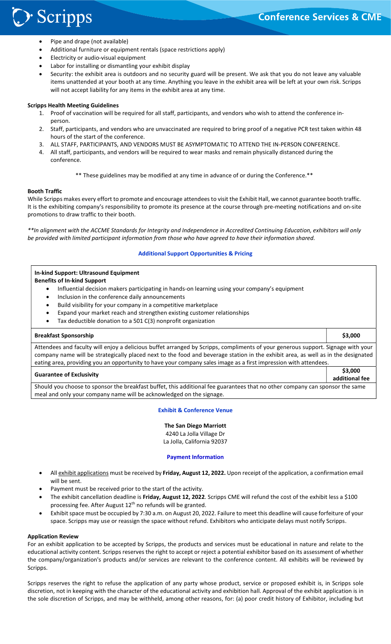> Scripps

i<br>I

- Pipe and drape (not available)
- Additional furniture or equipment rentals (space restrictions apply)
- Electricity or audio-visual equipment
- Labor for installing or dismantling your exhibit display
- Security: the exhibit area is outdoors and no security guard will be present. We ask that you do not leave any valuable items unattended at your booth at any time. Anything you leave in the exhibit area will be left at your own risk. Scripps will not accept liability for any items in the exhibit area at any time.

### Scripps Health Meeting Guidelines

- 1. Proof of vaccination will be required for all staff, participants, and vendors who wish to attend the conference inperson.
- 2. Staff, participants, and vendors who are unvaccinated are required to bring proof of a negative PCR test taken within 48 hours of the start of the conference.
- 3. ALL STAFF, PARTICIPANTS, AND VENDORS MUST BE ASYMPTOMATIC TO ATTEND THE IN-PERSON CONFERENCE.
- 4. All staff, participants, and vendors will be required to wear masks and remain physically distanced during the conference.
	- \*\* These guidelines may be modified at any time in advance of or during the Conference.\*\*

#### Booth Traffic

While Scripps makes every effort to promote and encourage attendees to visit the Exhibit Hall, we cannot guarantee booth traffic. It is the exhibiting company's responsibility to promote its presence at the course through pre-meeting notifications and on-site promotions to draw traffic to their booth.

\*\*In alignment with the ACCME Standards for Integrity and Independence in Accredited Continuing Education, exhibitors will only be provided with limited participant information from those who have agreed to have their information shared.

#### Additional Support Opportunities & Pricing

#### In-kind Support: Ultrasound Equipment Benefits of In-kind Support

- Influential decision makers participating in hands-on learning using your company's equipment
- Inclusion in the conference daily announcements
- Build visibility for your company in a competitive marketplace
- Expand your market reach and strengthen existing customer relationships
- Tax deductible donation to a 501 C(3) nonprofit organization

meal and only your company name will be acknowledged on the signage.

#### Breakfast Sponsorship \$3,000

Attendees and faculty will enjoy a delicious buffet arranged by Scripps, compliments of your generous support. Signage with your company name will be strategically placed next to the food and beverage station in the exhibit area, as well as in the designated eating area, providing you an opportunity to have your company sales image as a first impression with attendees.

# Guarantee of Exclusivity \$3,000

additional fee Should you choose to sponsor the breakfast buffet, this additional fee guarantees that no other company can sponsor the same

#### Exhibit & Conference Venue

The San Diego Marriott 4240 La Jolla Village Dr La Jolla, California 92037

#### Payment Information

- All exhibit applications must be received by Friday, August 12, 2022. Upon receipt of the application, a confirmation email will be sent.
- Payment must be received prior to the start of the activity.
- The exhibit cancellation deadline is Friday, August 12, 2022. Scripps CME will refund the cost of the exhibit less a \$100 processing fee. After August 12<sup>th</sup> no refunds will be granted.
- Exhibit space must be occupied by 7:30 a.m. on August 20, 2022. Failure to meet this deadline will cause forfeiture of your space. Scripps may use or reassign the space without refund. Exhibitors who anticipate delays must notify Scripps.

#### Application Review

For an exhibit application to be accepted by Scripps, the products and services must be educational in nature and relate to the educational activity content. Scripps reserves the right to accept or reject a potential exhibitor based on its assessment of whether the company/organization's products and/or services are relevant to the conference content. All exhibits will be reviewed by Scripps.

Scripps reserves the right to refuse the application of any party whose product, service or proposed exhibit is, in Scripps sole discretion, not in keeping with the character of the educational activity and exhibition hall. Approval of the exhibit application is in the sole discretion of Scripps, and may be withheld, among other reasons, for: (a) poor credit history of Exhibitor, including but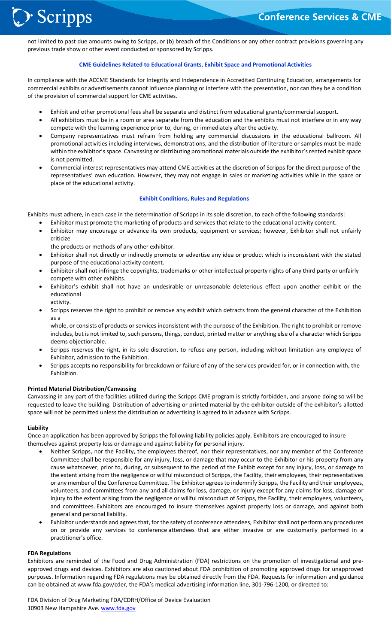not limited to past due amounts owing to Scripps, or (b) breach of the Conditions or any other contract provisions governing any previous trade show or other event conducted or sponsored by Scripps.

#### CME Guidelines Related to Educational Grants, Exhibit Space and Promotional Activities

In compliance with the ACCME Standards for Integrity and Independence in Accredited Continuing Education, arrangements for commercial exhibits or advertisements cannot influence planning or interfere with the presentation, nor can they be a condition of the provision of commercial support for CME activities.

- Exhibit and other promotional fees shall be separate and distinct from educational grants/commercial support.
- All exhibitors must be in a room or area separate from the education and the exhibits must not interfere or in any way compete with the learning experience prior to, during, or immediately after the activity.
- Company representatives must refrain from holding any commercial discussions in the educational ballroom. All promotional activities including interviews, demonstrations, and the distribution of literature or samples must be made within the exhibitor's space. Canvassing or distributing promotional materials outside the exhibitor's rented exhibit space is not permitted.
- Commercial interest representatives may attend CME activities at the discretion of Scripps for the direct purpose of the representatives' own education. However, they may not engage in sales or marketing activities while in the space or place of the educational activity.

#### Exhibit Conditions, Rules and Regulations

Exhibits must adhere, in each case in the determination of Scripps in its sole discretion, to each of the following standards:

Exhibitor must promote the marketing of products and services that relate to the educational activity content.

- Exhibitor may encourage or advance its own products, equipment or services; however, Exhibitor shall not unfairly criticize
	- the products or methods of any other exhibitor.
- Exhibitor shall not directly or indirectly promote or advertise any idea or product which is inconsistent with the stated purpose of the educational activity content.
- Exhibitor shall not infringe the copyrights, trademarks or other intellectual property rights of any third party or unfairly compete with other exhibits.
- Exhibitor's exhibit shall not have an undesirable or unreasonable deleterious effect upon another exhibit or the educational activity.
- Scripps reserves the right to prohibit or remove any exhibit which detracts from the general character of the Exhibition as a

whole, or consists of products or services inconsistent with the purpose of the Exhibition. The right to prohibit or remove includes, but is not limited to, such persons, things, conduct, printed matter or anything else of a character which Scripps deems objectionable.

- Scripps reserves the right, in its sole discretion, to refuse any person, including without limitation any employee of Exhibitor, admission to the Exhibition.
- Scripps accepts no responsibility for breakdown or failure of any of the services provided for, or in connection with, the Exhibition.

#### Printed Material Distribution/Canvassing

Canvassing in any part of the facilities utilized during the Scripps CME program is strictly forbidden, and anyone doing so will be requested to leave the building. Distribution of advertising or printed material by the exhibitor outside of the exhibitor's allotted space will not be permitted unless the distribution or advertising is agreed to in advance with Scripps.

#### Liability

i<br>I

> Scripps

Once an application has been approved by Scripps the following liability policies apply. Exhibitors are encouraged to insure themselves against property loss or damage and against liability for personal injury.

- Neither Scripps, nor the Facility, the employees thereof, nor their representatives, nor any member of the Conference Committee shall be responsible for any injury, loss, or damage that may occur to the Exhibitor or his property from any cause whatsoever, prior to, during, or subsequent to the period of the Exhibit except for any injury, loss, or damage to the extent arising from the negligence or willful misconduct of Scripps, the Facility, their employees, their representatives or any member of the Conference Committee. The Exhibitor agrees to indemnify Scripps, the Facility and their employees, volunteers, and committees from any and all claims for loss, damage, or injury except for any claims for loss, damage or injury to the extent arising from the negligence or willful misconduct of Scripps, the Facility, their employees, volunteers, and committees. Exhibitors are encouraged to insure themselves against property loss or damage, and against both general and personal liability.
- Exhibitor understands and agrees that, for the safety of conference attendees, Exhibitor shall not perform any procedures on or provide any services to conference attendees that are either invasive or are customarily performed in a practitioner's office.

#### FDA Regulations

Exhibitors are reminded of the Food and Drug Administration (FDA) restrictions on the promotion of investigational and preapproved drugs and devices. Exhibitors are also cautioned about FDA prohibition of promoting approved drugs for unapproved purposes. Information regarding FDA regulations may be obtained directly from the FDA. Requests for information and guidance can be obtained at www.fda.gov/cder, the FDA's medical advertising information line, 301-796-1200, or directed to:

FDA Division of Drug Marketing FDA/CDRH/Office of Device Evaluation 10903 New Hampshire Ave. www.fda.gov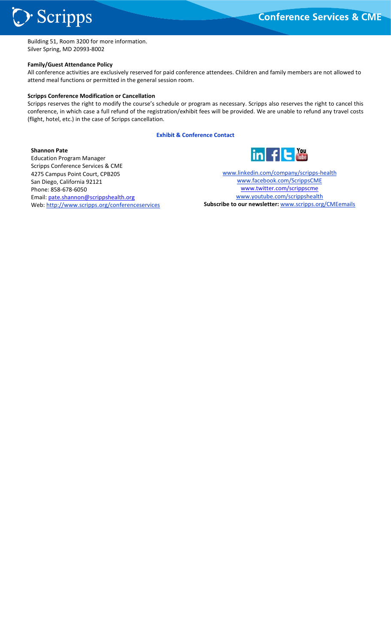i<br>I Building 51, Room 3200 for more information. Silver Spring, MD 20993-8002

#### Family/Guest Attendance Policy

> Scripps

All conference activities are exclusively reserved for paid conference attendees. Children and family members are not allowed to attend meal functions or permitted in the general session room.

#### Scripps Conference Modification or Cancellation

Scripps reserves the right to modify the course's schedule or program as necessary. Scripps also reserves the right to cancel this conference, in which case a full refund of the registration/exhibit fees will be provided. We are unable to refund any travel costs (flight, hotel, etc.) in the case of Scripps cancellation.

#### Exhibit & Conference Contact

Shannon Pate Education Program Manager Scripps Conference Services & CME 4275 Campus Point Court, CPB205 San Diego, California 92121 Phone: 858-678-6050 Email: pate.shannon@scrippshealth.org Web: http://www.scripps.org/conferenceservices



www.linkedin.com/company/scripps-health www.facebook.com/ScrippsCME www.twitter.com/scrippscme www.youtube.com/scrippshealth Subscribe to our newsletter: www.scripps.org/CMEemails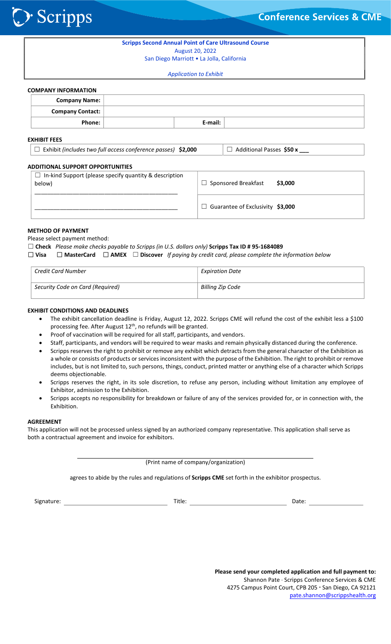

| <b>Scripps Second Annual Point of Care Ultrasound Course</b><br>August 20, 2022 |                                                              |  |         |                                       |  |  |  |  |
|---------------------------------------------------------------------------------|--------------------------------------------------------------|--|---------|---------------------------------------|--|--|--|--|
| San Diego Marriott . La Jolla, California                                       |                                                              |  |         |                                       |  |  |  |  |
| <b>Application to Exhibit</b>                                                   |                                                              |  |         |                                       |  |  |  |  |
| <b>COMPANY INFORMATION</b>                                                      |                                                              |  |         |                                       |  |  |  |  |
| <b>Company Name:</b>                                                            |                                                              |  |         |                                       |  |  |  |  |
| <b>Company Contact:</b>                                                         |                                                              |  |         |                                       |  |  |  |  |
| Phone:                                                                          |                                                              |  | E-mail: |                                       |  |  |  |  |
| <b>EXHIBIT FEES</b>                                                             |                                                              |  |         |                                       |  |  |  |  |
|                                                                                 | Exhibit (includes two full access conference passes) \$2,000 |  |         | Additional Passes \$50 x<br>ப         |  |  |  |  |
| <b>ADDITIONAL SUPPORT OPPORTUNITIES</b>                                         |                                                              |  |         |                                       |  |  |  |  |
| $\Box$ In-kind Support (please specify quantity & description<br>below)         |                                                              |  |         | $\Box$ Sponsored Breakfast<br>\$3,000 |  |  |  |  |
|                                                                                 |                                                              |  |         | Guarantee of Exclusivity \$3.000      |  |  |  |  |

### METHOD OF PAYMENT

 $\sum$  Scripps

Please select payment method:

\_\_\_\_\_\_\_\_\_\_\_\_\_\_\_\_\_\_\_\_\_\_\_\_\_\_\_\_\_\_\_\_\_\_\_\_\_\_\_\_\_\_\_\_\_

#### $\Box$  Check Please make checks payable to Scripps (in U.S. dollars only) Scripps Tax ID # 95-1684089

☐ Visa ☐ MasterCard ☐ AMEX ☐ Discover If paying by credit card, please complete the information below

| <b>Credit Card Number</b>        | <b>Expiration Date</b> |
|----------------------------------|------------------------|
| Security Code on Card (Required) | Billing Zip Code       |

### EXHIBIT CONDITIONS AND DEADLINES

- The exhibit cancellation deadline is Friday, August 12, 2022. Scripps CME will refund the cost of the exhibit less a \$100 processing fee. After August  $12^{th}$ , no refunds will be granted.
- Proof of vaccination will be required for all staff, participants, and vendors.
- Staff, participants, and vendors will be required to wear masks and remain physically distanced during the conference.
- Scripps reserves the right to prohibit or remove any exhibit which detracts from the general character of the Exhibition as a whole or consists of products or services inconsistent with the purpose of the Exhibition. The right to prohibit or remove includes, but is not limited to, such persons, things, conduct, printed matter or anything else of a character which Scripps deems objectionable.
- Scripps reserves the right, in its sole discretion, to refuse any person, including without limitation any employee of Exhibitor, admission to the Exhibition.
- Scripps accepts no responsibility for breakdown or failure of any of the services provided for, or in connection with, the Exhibition.

#### AGREEMENT

This application will not be processed unless signed by an authorized company representative. This application shall serve as both a contractual agreement and invoice for exhibitors.

(Print name of company/organization)

agrees to abide by the rules and regulations of Scripps CME set forth in the exhibitor prospectus.

Signature: Title: Date:

Please send your completed application and full payment to: Shannon Pate · Scripps Conference Services & CME 4275 Campus Point Court, CPB 205 · San Diego, CA 92121 pate.shannon@scrippshealth.org